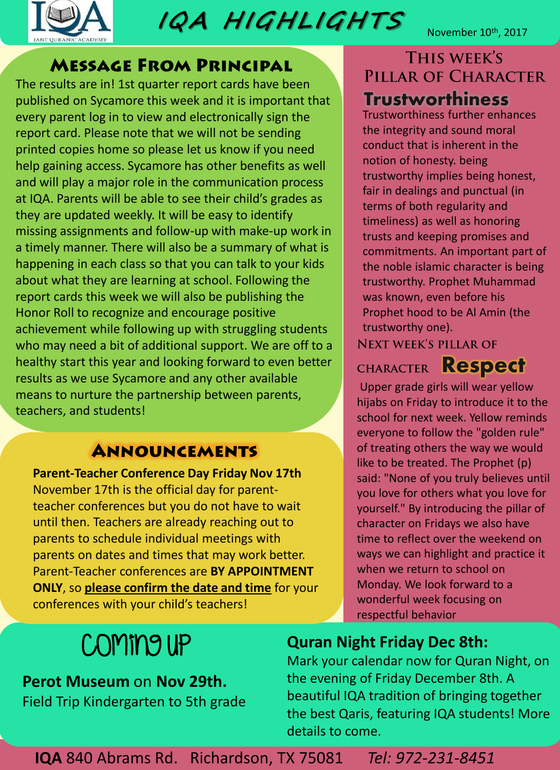

**IQA H IGHL IGHTS** 

November 10<sup>th</sup>, 2017

### **MESSAGE FROM PRINCIPAL**

The results are in! 1st quarter report cards have been published on Sycamore this week and it is important that every parent log in to view and electronically sign the report card. Please note that we will not be sending printed copies home so please let us know if you need help gaining access. Sycamore has other benefits as well and will play a major role in the communication process at IQA. Parents will be able to see their child's grades as they are updated weekly. It will be easy to identify missing assignments and follow-up with make-up work in a timely manner. There will also be a summary of what is happening in each class so that you can talk to your kids about what they are learning at school. Following the report cards this week we will also be publishing the Honor Roll to recognize and encourage positive achievement while following up with struggling students who may need a bit of additional support. We are off to a healthy start this year and looking forward to even better results as we use Sycamore and any other available means to nurture the partnership between parents, teachers, and students!

# **ANNOUNCEMENTS**

**Parent-Teacher Conference Day Friday Nov 17th**  November 17th is the official day for parentteacher conferences but you do not have to wait until then. Teachers are already reaching out to parents to schedule individual meetings with parents on dates and times that may work better. Parent-Teacher conferences are **BY APPOINTMENT ONLY**, so **please confirm the date and time** for your conferences with your child's teachers!

# THIS WEEK'S PILLAR OF CHARACTER **Trustworthiness**

Trustworthiness further enhances the integrity and sound moral conduct that is inherent in the notion of honesty. being trustworthy implies being honest, fair in dealings and punctual (in terms of both regularity and timeliness) as well as honoring trusts and keeping promises and commitments. An important part of the noble islamic character is being trustworthy. Prophet Muhammad was known, even before his Prophet hood to be Al Amin (the trustworthy one).

**NEXT WEEK'S PILLAR OF** 

CHARACTER **Respect** 

Upper grade girls will wear yellow hijabs on Friday to introduce it to the school for next week. Yellow reminds everyone to follow the "golden rule" of treating others the way we would like to be treated. The Prophet (p) said: "None of you truly believes until you love for others what you love for yourself." By introducing the pillar of character on Fridays we also have time to reflect over the weekend on ways we can highlight and practice it when we return to school on Monday. We look forward to a wonderful week focusing on respectful behavior

# Coming up

#### **Perot Museum** on **Nov 29th.** Field Trip Kindergarten to 5th grade

# **Quran Night Friday Dec 8th:**

Mark your calendar now for Quran Night, on the evening of Friday December 8th. A beautiful IQA tradition of bringing together the best Qaris, featuring IQA students! More details to come.

**IQA** 840 Abrams Rd. Richardson, TX 75081 *Tel: 972-231-8451*